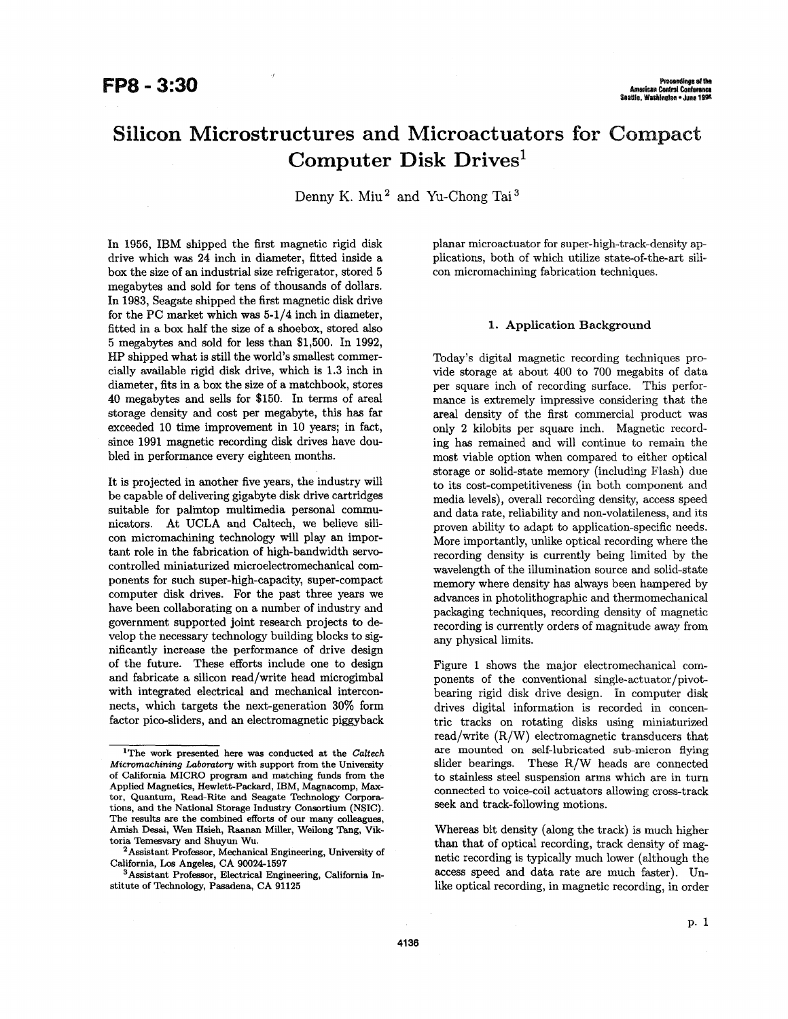# **n Microstructures and Microactuators for Computer Disk Drives1**

Denny K. Miu<sup>2</sup> and Yu-Chong Tai<sup>3</sup>

In **1956,** IBM shipped the first magnetic rigid disk drive which was **24** inch in diameter, fitted inside a box the size of an industrial size refrigerator, stored **5**  megabytes and sold for tens of thousands of dollars. In **1983,** Seagate shipped the first magnetic disk drive for the **PC** market which **was 5-1/4** inch in diameter, fitted in a box half the size of a shoebox, stored also **5** megabytes and sold for less than **\$1,500.** In **1992, NP** shipped what is still the world's smallest commercially available rigid disk drive, which is **1.3** inch in diameter, fits in a box the size of a matchbook, stores 40 megabytes and sells for \$150. In terms of areal storage density and cost per megabyte, this has far exceeded **10** time improvement in **10** years; in fact, since **1991** magnetic recording disk drives have doubled in performance every eighteen months.

It is projected in another five years, the industry will be capable of delivering gigabyte disk drive cartridges suitable for palmtop multimedia personal communicators. At UCLA and Caltech, we believe silicon micromachining technology will play an important role in the fabrication of high-bandwidth **servo**controlled miniaturized microelectromechanical components for such super-high-capacity, super-compact computer disk drives. For the past three years we have been collaborating on a number of industry and government supported joint research projects to develop the necessary technology building blocks to significantly increase the performance of drive design of the future. These efforts include one to design and fabricate a silicon read/write head microgimbal with integrated electrical and mechanical interconnects, which targets the next-generation 30% form factor pico-sliders, and an electromagnetic piggyback planar microactuator for super-high-track-density applications, both of which utilize state-of-the-art silicon micromachining fabrication techniques.

## 1. Application Background

Today's digital magnetic recording techniques provide storage at about 400 to 700 megabits of data per square inch of recording surface. This performance is extremely impressive considering that the areal density of the first commercial product was only 2 kilobits per square inch. Magnetic recording has remained and will continue to remain the most viable option when compared to either optical storage or solid-state memory (including Flash) due to its cost-competitiveness (in both component arid media levels), overall recording density, access speed and data rate, reliability and non-volatileness, and its proven ability to adapt to application-specific needs. More importantly, unlike optical recording where the recording density is currently being limited by the wavelength of the illumination source and solid-state memory where density has always been hampered by advances in photolithographic and thermomechanical packaging techniques, recording density of magnetic recording is currently orders of magnitude away from any physical limits.

Figure **1** shows the major electromechanical components of the conventional single-actuator/pivotbearing rigid disk drive design. In computer disk drives digital information is recorded in concentric tracks on rotating disks using miniaturized read/write (R/W) electromagnetic transducers that are mounted on self-lubricated sub-micron flying slider bearings. These R/W heads are connected to stainless steel suspension arms which are in turn connected to voice-coil actuators allowing cross-track seek and track-following motions.

Whereas bit density (along the track) is much higher than that of optical recording, track density of magnetic recording is typically much lower (although the access speed and data rate are much faster). Unlike optical recording, in magnetic recording, in order

<sup>&</sup>lt;sup>1</sup>The work presented here was conducted at the *Caltech* **Micromachining** *Labomtory* **with support from the University of California MICRO program and matching funds from the Applied Magnetics, Hewlett-Packard, IBM, Magnacomp, Maxtor, Quantum, Read-Rite and Seagate Technology Corporations, and the National Storage Industry Consortium (NSIC). The results are the combined efforts of our many colleagues, Amish** Desai, **Wen Hsieh, Rsanan Miller, Weilong Tang, Viktoria Temesvary and Shuyun Wu.** 

**<sup>2</sup>Assistant Professor, Mechanical Engineering, University of California, Los Angeles, CA 900241597** 

**<sup>3</sup>Assistant Professor, Electrical Engineering, California Institute of Technology, Pasadena, CA 91125**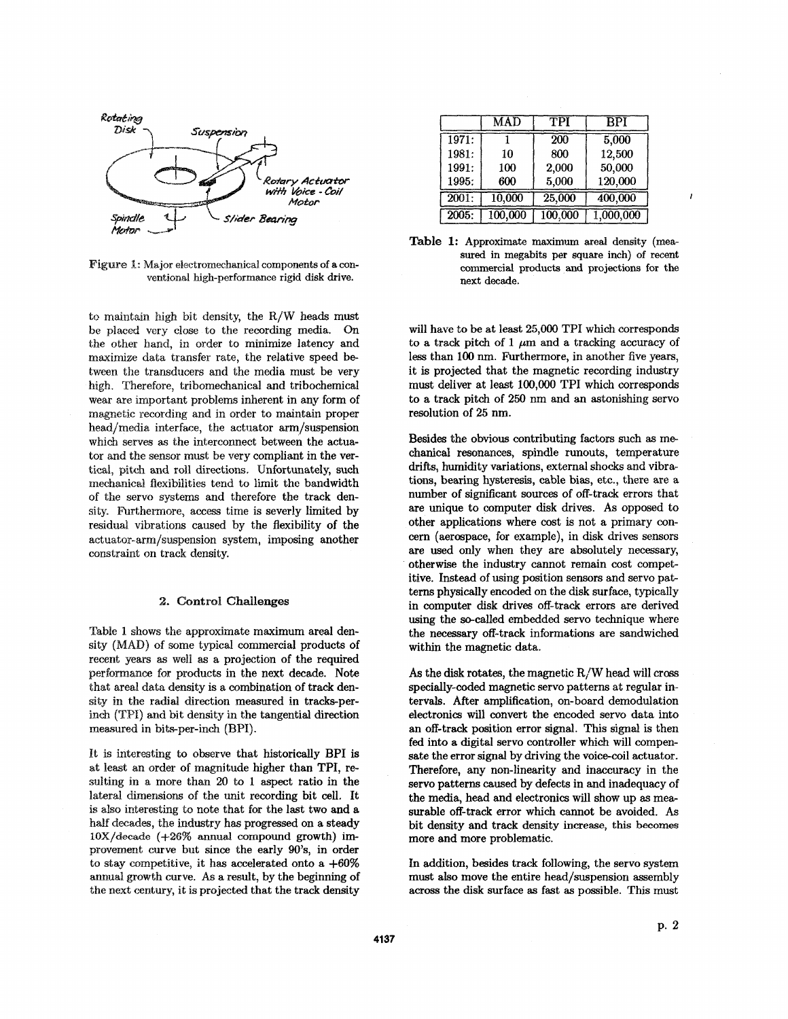

**Figure 1:** Major electromechanical components of a conventional high-performance rigid disk drive.

to maintain **'high** bit density, the R/W heads must be placed very close to the recording media. On **the** other hand, in order to minimize latency and maximize data transfer rate, the relative speed between the transducers and the media must be very high. Therefore, tribomechanical and tribochemical wear are important problems inherent in any form of magnetic recording and in order to maintain proper head/media interface, the actuator arm/suspension which serves as the interconnect between the actuator and the sensor must be very compliant in the vertical, pitch and roll directions. Unfortunately, such mechanical flexibilities tend to limit the bandwidth of the servo systems and therefore the track density. Furthermore, access time is severly limited by residud vibrations caused by the flexibility **of** the actuator-arm/suspension system, imposing another constraint on track density.

## 2. Control Challenges

Table 1 **shows** the approximate maximum areal density (MAD) of some typical commercial products of recent years as well **as** a projection of the required performance for products in the next decade. Note that areal data density is a combination of track density *in* the radial direction measured in tracks-perinch (TPI) and bit density in the tangential direction measured in bits-per-inch (BPI).

It is interesting to observe that historically BPI is at least an order of magnitude higher than TPI, resulting in a more than  $20$  to 1 aspect ratio in the Iateral dimensions of the unit recording bit cell. It **is** dso interesting to note that for the last two and a half decades, the industry has progressed on a steady 10X/decade (+26% annual compound growth) improvement curve but since the early go's, in order to stay competitive, it has accelerated onto a  $+60\%$ annual growth curve. **As** a result, by the beginning of the next century, it **is** projected that the track density

|       | MAD     | TPI     | <b>BPI</b> |
|-------|---------|---------|------------|
| 1971: |         | 200     | 5,000      |
| 1981: | 10      | 800     | 12,500     |
| 1991: | 100     | 2,000   | 50,000     |
| 1995: | 600     | 5,000   | 120,000    |
| 2001: | 10,000  | 25,000  | 400,000    |
| 2005: | 100,000 | 100,000 | 1,000,000  |

**Table 1:** Approximate maximum areal density (mea**sured** in megabits per square inch) of recent commercial products **and** projections for the next decade.

will have *to* be at least 25,000 TPI which corresponds to a track pitch of 1  $\mu$ m and a tracking accuracy of less than 100 nm. Furthermore, in another five years, it is projected that the magnetic recording industry must deliver at least 100,000 TPI which corresponds to a track pitch of 250 nm and an astonishing servo resolution of 25 nm.

Besides the obvious contributing factors such **as** mechanical resonances, spindle runouts, temperature drifts, humidity variations, external shocks and vibrations, bearing hysteresis, cable bias, etc., there are a number of significant sources of off-track errors that are unique to computer disk drives. As opposed to other applications where cost is not a primary concern (aerospace, for example), in disk drives sensors are used only when they are absolutely necessary, otherwise the industry cannot remain cost competitive. Instead of using position sensors and servo patterns physically encoded on the disk surface, typically in computer **disk** drives off-track errors are derived using the so-called embedded servo technique where the necessary off-track informations are sandwiched within the magnetic data.

*As* the **disk** rotates, the magnetic **R/W** head will cross specially-coded magnetic servo patterns at regular intervals. After amplification, on-board demodulation electronics will convert the encoded servo data into an off-track position error signal. This signal is then **fed** into a digital servo controller which will compensate the **error** signal by driving the voice-coil actuator. Therefore, any non-linearity and inaccuracy in the servo patterns caused by defects in and inadequacy of the media, head and electronics will show up **as** measurable off-track error which cannot be avoided. **As**  bit density and track density increase, this **becomes**  more and more problematic.

**In** addition, besides track following, the servo system must **also** move the entire head/suspension assembly across the disk surface **as** fast as possible. This must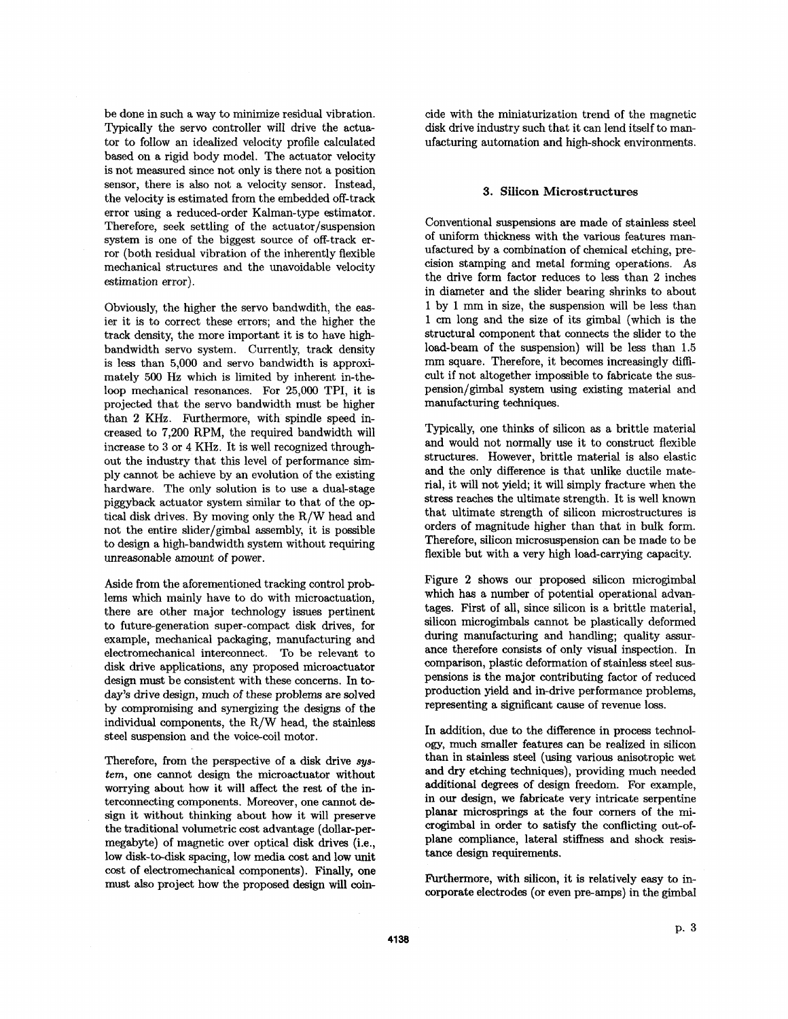be done in such a way to minimize residual vibration. Typically the servo controller will drive the actuator to follow an idealized velocity profile calculated based on a rigid body model. The actuator velocity is not measured since not only is there not a position sensor, there is also not a velocity sensor. Instead, the velocity is estimated from the embedded off-track error using a reduced-order Kalman-type estimator. Therefore, seek settling of the actuator/suspension system is one of the biggest source of off-track error (both residual vibration of the inherently flexible mechanical structures and the unavoidable velocity estimation error).

Obviously, the higher the servo bandwdith, the easier it is to correct these errors; and the higher the track density, the more important it is to have highbandwidth servo system. Currently, track density is less than **5,000** and servo bandwidth is approximately 500 Hz which is limited by inherent in-theloop mechanical resonances. For **25,000** TPI, it is projected that the servo bandwidth must be higher than **2** KHz. Furthermore, with spindle speed increased to **7,200** RPM, the required bandwidth will increase to **3** or 4 **KHz.** It is well recognized throughout the industry that this level of performance simply cannot be achieve by an evolution of the existing hardware. The only solution is to use a dual-stage piggyback actuator system similar to that of the op tical disk drives. By moving only the R/W head and not the entire slider/gimbal assembly, it is possible to design a high-bandwidth system without requiring unreasonable amount of power.

Aside from the aforementioned tracking control problems which mainly have to do with microactuation, there are other major technology issues pertinent to future-generation super-compact disk drives, for example, mechanical packaging, manufacturing and electromechanical interconnect. To be relevant to disk drive applications, any proposed microactuator design must be consistent with these concerns. In today's drive design, much of these problems are solved by compromising and synergizing the designs of the individual components, the  $R/W$  head, the stainless steel suspension and the voice-coil motor.

Therefore, from the perspective of a disk drive **sys***tem,* one cannot design the microactuator without worrying about how it will affect the rest of the interconnecting components. Moreover, one cannot de sign it without thinking about how it will preserve the traditional volumetric cost advantage (dollar-permegabyte) of magnetic over optical disk drives (i.e., low disk-to-disk spacing, low media cost and low **unit**  cost of electromechanical components). Finally, one must also project how the proposed design will coincide with the miniaturization trend of the magnetic disk drive industry such that it can lend itself to manufacturing automation and high-shock environments.

### **3.** Silicon Microstructures

Conventional suspensions are made of stainless steel **of** uniform thickness with the various features manufactured by a combination of chemical etching, precision stamping and metal forming operations. **As**  the drive form factor reduces to less than **2** inches in diameter and the slider bearing shrinks to about 1 by 1 mm in size, the suspension will be less than 1 cm long and the size of its gimbal (which is the structural component that connects the slider to the load-beam of the suspension) will be less than 1.5 mm square. Therefore, it becomes increasingly difficult if not altogether impossible to fabricate the **sus**pension/gimbal system using existing material and manufacturing techniques.

Typically, one thinks of silicon **as** a brittle material and would not normally use it to construct flexible structures. However, brittle material is also elastic and the only difference is that unlike ductile material, it will not yield; it will simply fracture when the stress reaches the ultimate strength. It is well known that ultimate strength of silicon microstructures is orders of magnitude higher than that in bulk form. Therefore, silicon microsuspension can be made to be flexible but with a very high load-carrying capacity.

Figure **2** shows our proposed silicon microgimbal which has a number of potential operational advantages. First of all, since silicon is a brittle material, silicon microgimbals cannot be plastically deformed during manufacturing and handling; quality assurance therefore consists of only visual inspection. In comparison, plastic deformation of stainless steel suspensions is the major contributing factor of reduced production yield and in-drive performance problems, representing a significant cause of revenue loss.

In addition, due to the difference in process technol*ogy,* much smaller features can be realized in silicon than in stainless steel (using various anisotropic wet and *dry* etching techniques), providing much needed additional degrees of design freedom. For example, in **our** design, we fabricate very intricate serpentine planar microsprings at the four corners of the microgimbal in order to satisfy the conflicting out-ofplane compliance, lateral stiffness and shock resistance design requirements.

Furthermore, with silicon, it is relatively easy to incorporate electrodes (or even pre-amps) in the gimbal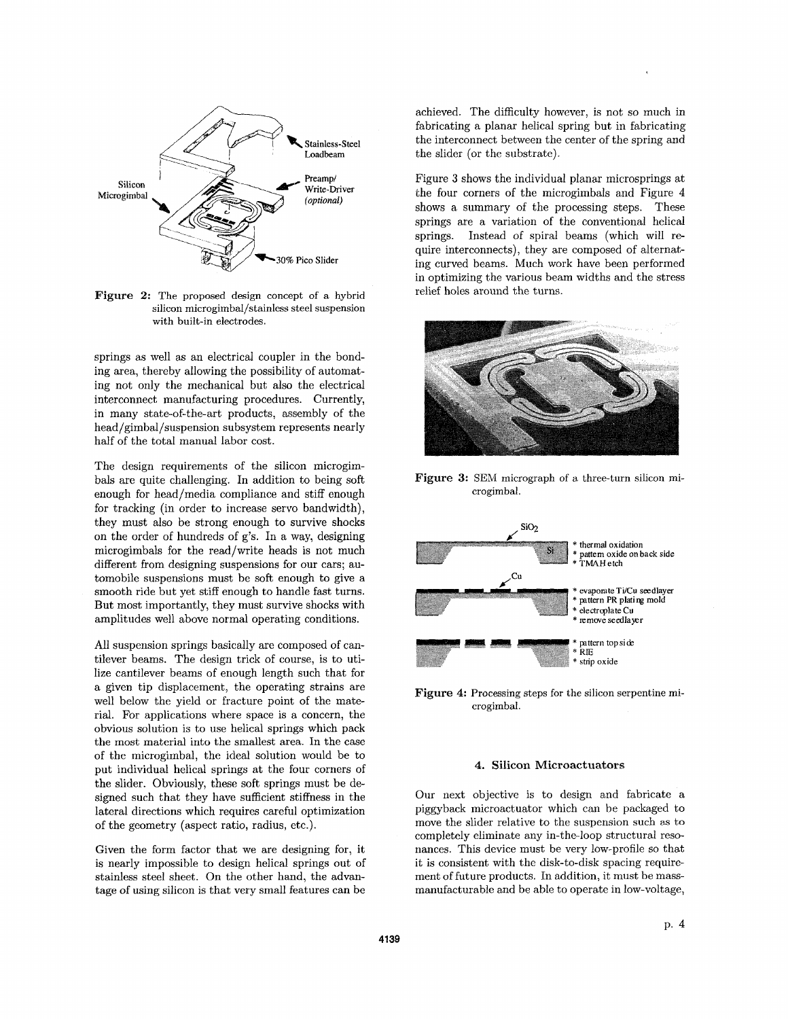

**Figure 2:** The proposed design concept of **a** hybrid silicon microgimbal/stainless steel suspension with built-in electrodes.

springs as well as an electrical coupler in the bonding area, thereby allowing the possibility of automating not only the mechanical but also the electrical interconnect manufacturing procedures. Currently, in many state-of-the-art products, assembly of the head/gimbal/suspension subsystem represents nearly half of the total manual labor cost.

The design requirements of the silicon microgimbals are quite challenging. In addition to being soft enough for head/media compliance and stiff enough for tracking (in order to increase servo bandwidth), they must also be strong enough to survive shocks on the order of hundreds of g's. In a way, designing microgimbals for the read/write heads is not much different from designing suspensions for our cars; automobile suspensions must be soft enough to give a smooth ride but yet stiff enough to handle fast turns. But most importantly, they must survive shocks with amplitudes well above normal operating conditions.

All suspension springs basically are composed of cantilever beams. The design trick of course, is to utilize cantilever beams of enough length such that for a given tip displacement, the operating strains are well below the yield or fracture point of the material. For applications where space is a concern, the obvious solution is to use helical springs which pack the most material into the smallest area. In the case of the microgimbal, the ideal solution would be to put individual helical springs at the four corners of the slider. Obviously, these soft springs must be designed such that they have sufficient stiffness in the lateral directions which requires careful optimization of the geometry (aspect ratio, radius, etc.).

Given the form factor that we are designing for, it is nearly impossible to design helical springs out of stainless steel sheet. On the other hand, the advantage of using silicon is that very small features can be achieved. The difficulty however, is not so much in fabricating a planar helical spring but in fabricating the interconnect between the center of the spring and the slider (or the substrate).

Figure **3** shows the individual planar microsprings at the four corners of the microgimbals and Figure 4 shows a summary of the processing steps. These springs are a variation of the conventional helical springs. Instead of spiral beams (which will require interconnects), they are composed of alternating curved beams. Much work have been performed in optimizing the various beam widths and the stress relief holes around the turns.



**Figure 3:** SEM micrograph of a three-turn silicon microgimbal.



**Figure 4:** Processing steps for the silicon serpentine microgimbal.

### **4. Silicon Microactuators**

Our next objective is to design and fabricate a piggyback microactuator which can be packaged to move the slider relative to the suspension such as to completely eliminate any in-the-loop structural resonances. This device must be very low-profile so that it is consistent with the disk-to-disk spacing requirement of future products. In addition, it must be massmanufacturable and be able to operate in low-voltage,